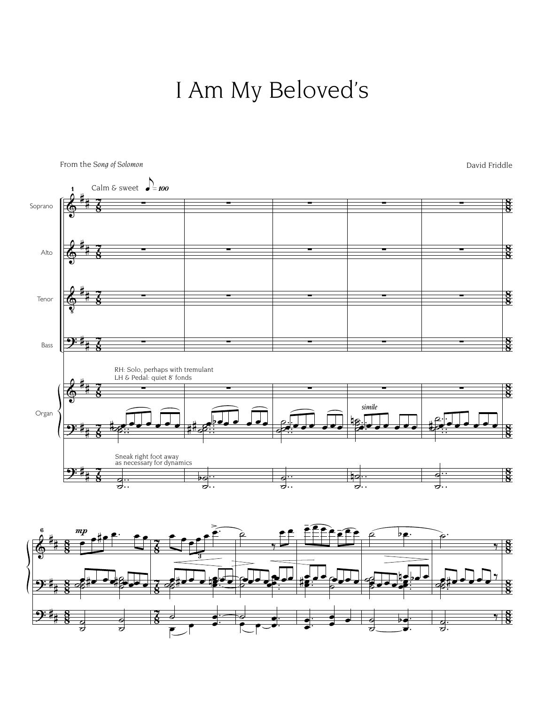I Am My Beloved's



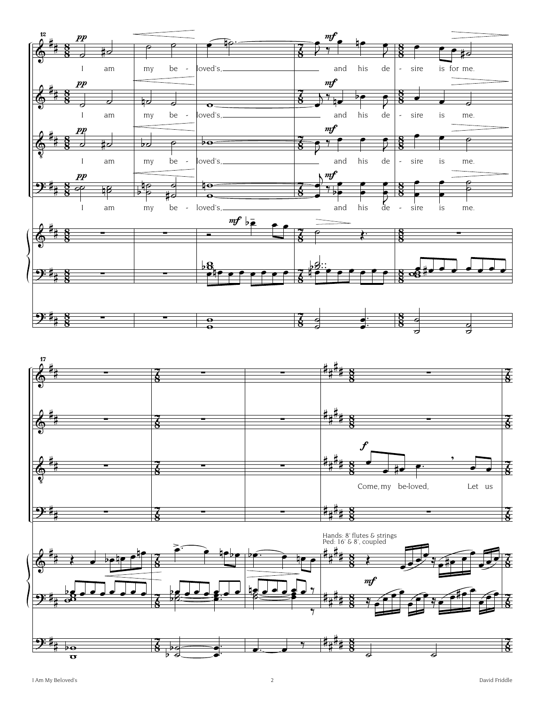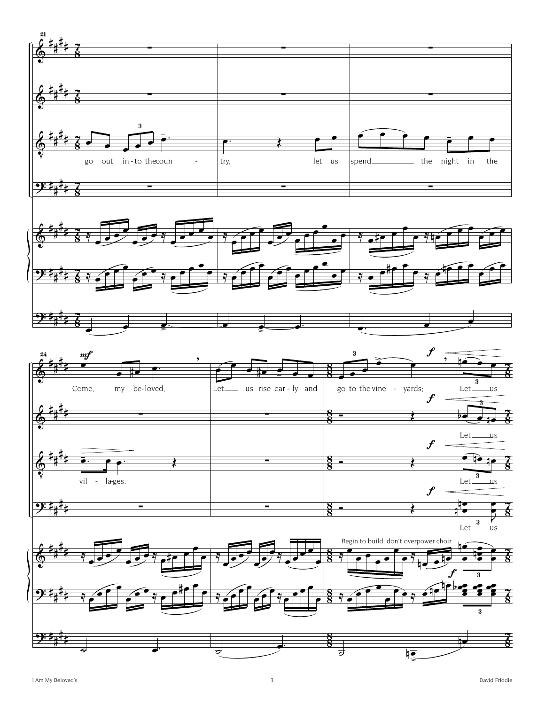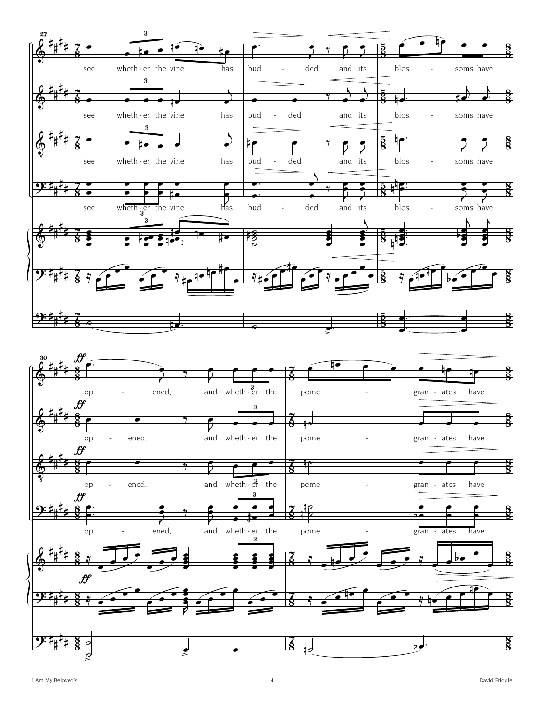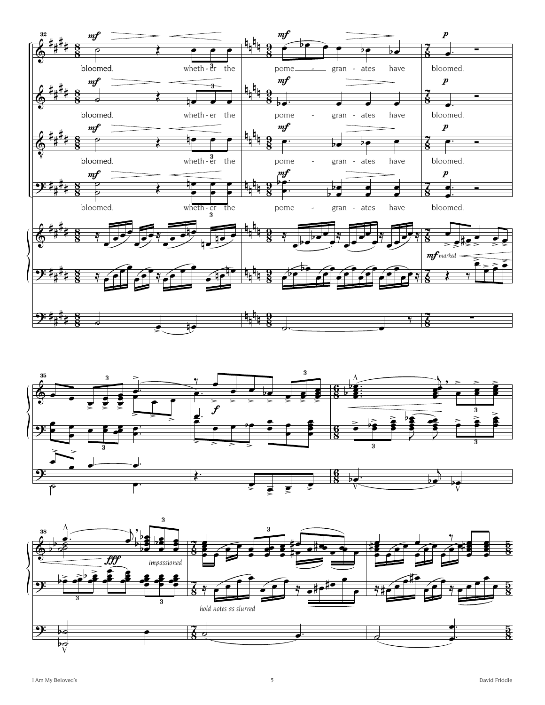



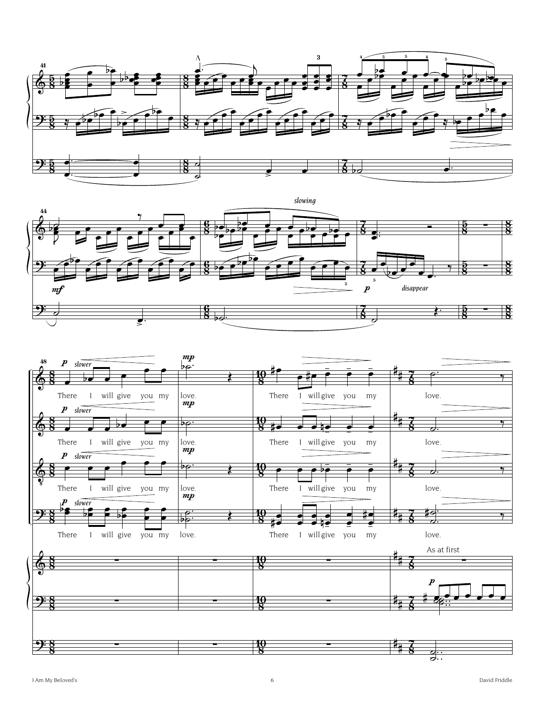



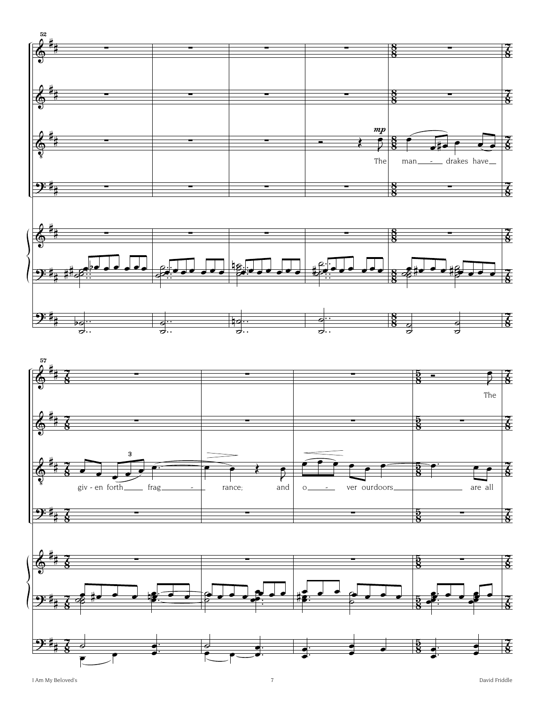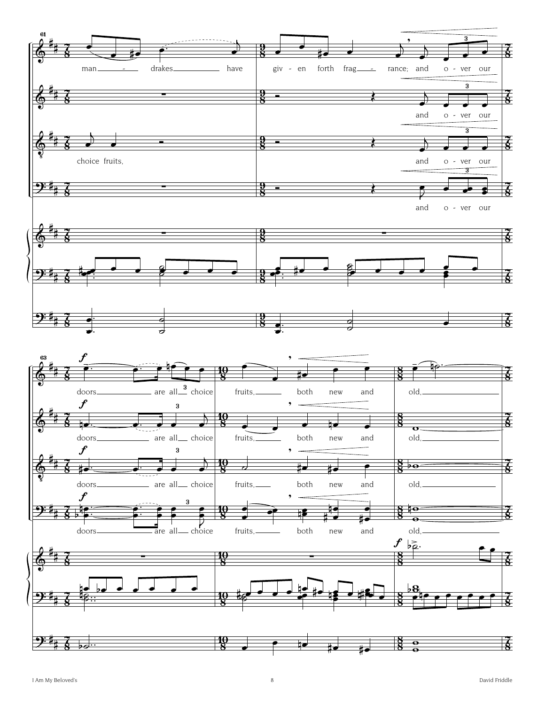